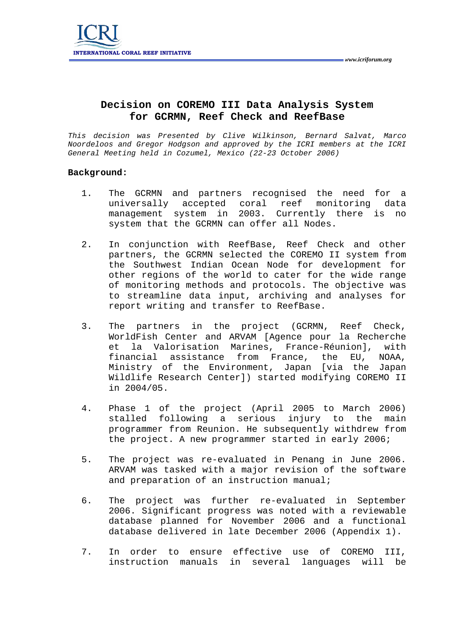

## **Decision on COREMO III Data Analysis System for GCRMN, Reef Check and ReefBase**

*This decision was Presented by Clive Wilkinson, Bernard Salvat, Marco Noordeloos and Gregor Hodgson and approved by the ICRI members at the ICRI General Meeting held in Cozumel, Mexico (22-23 October 2006)* 

## **Background:**

- 1. The GCRMN and partners recognised the need for a universally accepted coral reef monitoring data management system in 2003. Currently there is no system that the GCRMN can offer all Nodes.
- 2. In conjunction with ReefBase, Reef Check and other partners, the GCRMN selected the COREMO II system from the Southwest Indian Ocean Node for development for other regions of the world to cater for the wide range of monitoring methods and protocols. The objective was to streamline data input, archiving and analyses for report writing and transfer to ReefBase.
- 3. The partners in the project (GCRMN, Reef Check, WorldFish Center and ARVAM [Agence pour la Recherche et la Valorisation Marines, France-Réunion], with financial assistance from France, the EU, NOAA, Ministry of the Environment, Japan [via the Japan Wildlife Research Center]) started modifying COREMO II in 2004/05.
- 4. Phase 1 of the project (April 2005 to March 2006) stalled following a serious injury to the main programmer from Reunion. He subsequently withdrew from the project. A new programmer started in early 2006;
- 5. The project was re-evaluated in Penang in June 2006. ARVAM was tasked with a major revision of the software and preparation of an instruction manual;
- 6. The project was further re-evaluated in September 2006. Significant progress was noted with a reviewable database planned for November 2006 and a functional database delivered in late December 2006 (Appendix 1).
- 7. In order to ensure effective use of COREMO III, instruction manuals in several languages will be